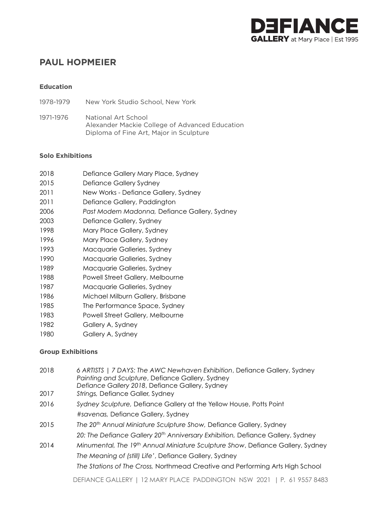

# **PAUL HOPMEIER**

#### **Education**

1978-1979 New York Studio School, New York

1971-1976 National Art School Alexander Mackie College of Advanced Education Diploma of Fine Art, Major in Sculpture

#### **Solo Exhibitions**

| 2018 | Defiance Gallery Mary Place, Sydney |
|------|-------------------------------------|
|------|-------------------------------------|

- 2015 Defiance Gallery Sydney
- 2011 New Works Defiance Gallery, Sydney
- 2011 Defiance Gallery, Paddington
- 2006 *Past Modern Madonna,* Defiance Gallery, Sydney
- 2003 Defiance Gallery, Sydney
- 1998 Mary Place Gallery, Sydney
- 1996 Mary Place Gallery, Sydney
- 1993 Macquarie Galleries, Sydney
- 1990 Macquarie Galleries, Sydney
- 1989 Macquarie Galleries, Sydney
- 1988 Powell Street Gallery, Melbourne
- 1987 Macquarie Galleries, Sydney
- 1986 Michael Milburn Gallery, Brisbane
- 1985 The Performance Space, Sydney
- 1983 Powell Street Gallery, Melbourne
- 1982 Gallery A, Sydney
- 1980 Gallery A, Sydney

### **Group Exhibitions**

| 2018 | 6 ARTISTS   7 DAYS: The AWC Newhaven Exhibition, Defiance Gallery, Sydney<br>Painting and Sculpture, Defiance Gallery, Sydney<br>Defiance Gallery 2018, Defiance Gallery, Sydney |
|------|----------------------------------------------------------------------------------------------------------------------------------------------------------------------------------|
| 2017 | Strings, Defiance Galler, Sydney                                                                                                                                                 |
| 2016 | Sydney Sculpture, Defiance Gallery at the Yellow House, Potts Point                                                                                                              |
|      | #savenas, Defiance Gallery, Sydney                                                                                                                                               |
| 2015 | The 20 <sup>th</sup> Annual Miniature Sculpture Show, Defiance Gallery, Sydney                                                                                                   |
|      | 20: The Defiance Gallery 20 <sup>th</sup> Anniversary Exhibition, Defiance Gallery, Sydney                                                                                       |
| 2014 | Minumental, The 19th Annual Miniature Sculpture Show, Defiance Gallery, Sydney                                                                                                   |
|      | The Meaning of (still) Life', Defiance Gallery, Sydney                                                                                                                           |
|      | The Stations of The Cross, Northmead Creative and Performing Arts High School                                                                                                    |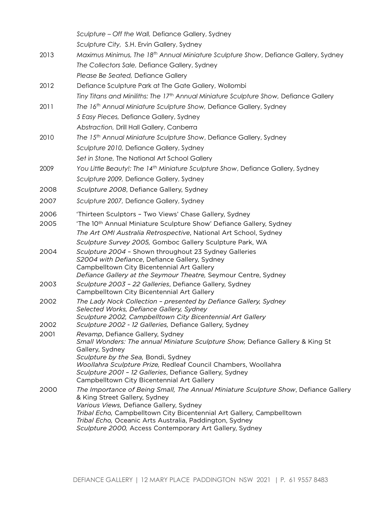|      | Sculpture – Off the Wall, Defiance Gallery, Sydney                                                               |
|------|------------------------------------------------------------------------------------------------------------------|
|      | Sculpture City, S.H. Ervin Gallery, Sydney                                                                       |
| 2013 | Maximus Minimus, The 18 <sup>th</sup> Annual Miniature Sculpture Show, Defiance Gallery, Sydney                  |
|      | The Collectors Sale, Defiance Gallery, Sydney                                                                    |
|      | Please Be Seated, Defiance Gallery                                                                               |
| 2012 | Defiance Sculpture Park at The Gate Gallery, Wollombi                                                            |
|      | Tiny Titans and Miniliths: The 17 <sup>th</sup> Annual Miniature Sculpture Show, Defiance Gallery                |
| 2011 | The 16th Annual Miniature Sculpture Show, Defiance Gallery, Sydney                                               |
|      | 5 Easy Pieces, Defiance Gallery, Sydney                                                                          |
|      | Abstraction, Drill Hall Gallery, Canberra                                                                        |
| 2010 | The 15th Annual Miniature Sculpture Show, Defiance Gallery, Sydney                                               |
|      | Sculpture 2010, Defiance Gallery, Sydney                                                                         |
|      | Set in Stone, The National Art School Gallery                                                                    |
| 2009 | You Little Beauty!: The 14 <sup>th</sup> Miniature Sculpture Show, Defiance Gallery, Sydney                      |
|      | Sculpture 2009, Defiance Gallery, Sydney                                                                         |
| 2008 | Sculpture 2008, Defiance Gallery, Sydney                                                                         |
| 2007 | Sculpture 2007, Defiance Gallery, Sydney                                                                         |
| 2006 | 'Thirteen Sculptors - Two Views' Chase Gallery, Sydney                                                           |
| 2005 | 'The 10 <sup>th</sup> Annual Miniature Sculpture Show' Defiance Gallery, Sydney                                  |
|      | The Art OMI Australia Retrospective, National Art School, Sydney                                                 |
|      | Sculpture Survey 2005, Gomboc Gallery Sculpture Park, WA                                                         |
| 2004 | Sculpture 2004 - Shown throughout 23 Sydney Galleries<br>S2004 with Defiance, Defiance Gallery, Sydney           |
|      | Campbelltown City Bicentennial Art Gallery                                                                       |
|      | Defiance Gallery at the Seymour Theatre, Seymour Centre, Sydney                                                  |
| 2003 | Sculpture 2003 - 22 Galleries, Defiance Gallery, Sydney<br>Campbelltown City Bicentennial Art Gallery            |
| 2002 | The Lady Nock Collection - presented by Defiance Gallery, Sydney                                                 |
|      | Selected Works, Defiance Gallery, Sydney<br>Sculpture 2002, Campbelltown City Bicentennial Art Gallery           |
| 2002 | Sculpture 2002 - 12 Galleries, Defiance Gallery, Sydney                                                          |
| 2001 | Revamp, Defiance Gallery, Sydney                                                                                 |
|      | Small Wonders: The annual Miniature Sculpture Show, Defiance Gallery & King St<br>Gallery, Sydney                |
|      | Sculpture by the Sea, Bondi, Sydney                                                                              |
|      | Woollahra Sculpture Prize, Redleaf Council Chambers, Woollahra                                                   |
|      | Sculpture 2001 - 12 Galleries, Defiance Gallery, Sydney<br>Campbelltown City Bicentennial Art Gallery            |
| 2000 | The Importance of Being Small, The Annual Miniature Sculpture Show, Defiance Gallery                             |
|      | & King Street Gallery, Sydney                                                                                    |
|      | Various Views, Defiance Gallery, Sydney<br>Tribal Echo, Campbelltown City Bicentennial Art Gallery, Campbelltown |
|      | Tribal Echo, Oceanic Arts Australia, Paddington, Sydney                                                          |
|      | Sculpture 2000, Access Contemporary Art Gallery, Sydney                                                          |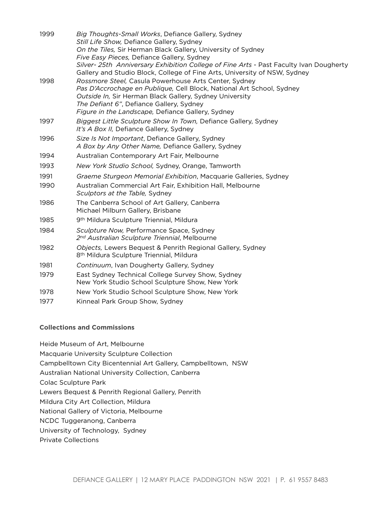| 1999 | Big Thoughts-Small Works, Defiance Gallery, Sydney<br>Still Life Show, Defiance Gallery, Sydney<br>On the Tiles, Sir Herman Black Gallery, University of Sydney                                                                                                                            |
|------|--------------------------------------------------------------------------------------------------------------------------------------------------------------------------------------------------------------------------------------------------------------------------------------------|
|      | Five Easy Pieces, Defiance Gallery, Sydney                                                                                                                                                                                                                                                 |
|      | Silver- 25th Anniversary Exhibition College of Fine Arts - Past Faculty Ivan Dougherty<br>Gallery and Studio Block, College of Fine Arts, University of NSW, Sydney                                                                                                                        |
| 1998 | Rossmore Steel, Casula Powerhouse Arts Center, Sydney<br>Pas D'Accrochage en Publique, Cell Block, National Art School, Sydney<br>Outside In, Sir Herman Black Gallery, Sydney University<br>The Defiant 6", Defiance Gallery, Sydney<br>Figure in the Landscape, Defiance Gallery, Sydney |
| 1997 | Biggest Little Sculpture Show In Town, Defiance Gallery, Sydney<br>It's A Box II, Defiance Gallery, Sydney                                                                                                                                                                                 |
| 1996 | Size Is Not Important, Defiance Gallery, Sydney<br>A Box by Any Other Name, Defiance Gallery, Sydney                                                                                                                                                                                       |
| 1994 | Australian Contemporary Art Fair, Melbourne                                                                                                                                                                                                                                                |
| 1993 | New York Studio School, Sydney, Orange, Tamworth                                                                                                                                                                                                                                           |
| 1991 | Graeme Sturgeon Memorial Exhibition, Macquarie Galleries, Sydney                                                                                                                                                                                                                           |
| 1990 | Australian Commercial Art Fair, Exhibition Hall, Melbourne<br>Sculptors at the Table, Sydney                                                                                                                                                                                               |
| 1986 | The Canberra School of Art Gallery, Canberra<br>Michael Milburn Gallery, Brisbane                                                                                                                                                                                                          |
| 1985 | 9 <sup>th</sup> Mildura Sculpture Triennial, Mildura                                                                                                                                                                                                                                       |
| 1984 | Sculpture Now, Performance Space, Sydney<br>2 <sup>nd</sup> Australian Sculpture Triennial, Melbourne                                                                                                                                                                                      |
| 1982 | Objects, Lewers Bequest & Penrith Regional Gallery, Sydney<br>8 <sup>th</sup> Mildura Sculpture Triennial, Mildura                                                                                                                                                                         |
| 1981 | Continuum, Ivan Dougherty Gallery, Sydney                                                                                                                                                                                                                                                  |
| 1979 | East Sydney Technical College Survey Show, Sydney<br>New York Studio School Sculpture Show, New York                                                                                                                                                                                       |
| 1978 | New York Studio School Sculpture Show, New York                                                                                                                                                                                                                                            |
| 1977 | Kinneal Park Group Show, Sydney                                                                                                                                                                                                                                                            |
|      |                                                                                                                                                                                                                                                                                            |

### **Collections and Commissions**

Heide Museum of Art, Melbourne Macquarie University Sculpture Collection Campbelltown City Bicentennial Art Gallery, Campbelltown, NSW Australian National University Collection, Canberra Colac Sculpture Park Lewers Bequest & Penrith Regional Gallery, Penrith Mildura City Art Collection, Mildura National Gallery of Victoria, Melbourne NCDC Tuggeranong, Canberra University of Technology, Sydney Private Collections